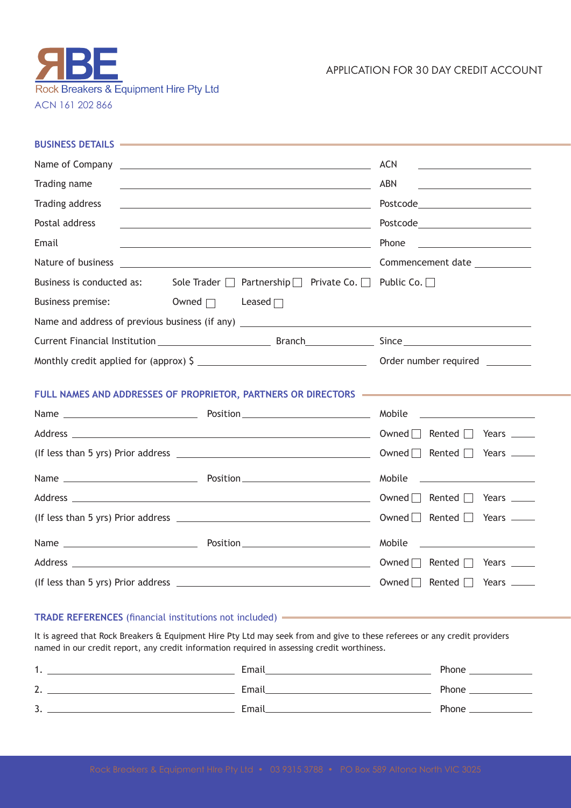

APPLICATION FOR 30 DAY CREDIT ACCOUNT

| BUSINESS DETAILS -                                                                                                                     |                                                                                                                                                                                                                                                |
|----------------------------------------------------------------------------------------------------------------------------------------|------------------------------------------------------------------------------------------------------------------------------------------------------------------------------------------------------------------------------------------------|
|                                                                                                                                        | <b>ACN</b><br><u> 1989 - Johann Barn, mars ann an t-Amhain Aonaich an t-Aonaich an t-Aonaich ann an t-Aonaich ann an t-Aonaich</u>                                                                                                             |
| Trading name<br><u> 1989 - Johann Barbara, martxa eta politikaria (h. 1989).</u>                                                       | <b>ABN</b><br><u> 1989 - John Stein, mars and de Branch and de Branch and de Branch and de Branch and de Branch and de Branch an</u>                                                                                                           |
| Trading address                                                                                                                        |                                                                                                                                                                                                                                                |
| Postal address<br><u> 1989 - Johann Stein, marwolaethau a bhann an t-Amhain an t-Amhain an t-Amhain an t-Amhain an t-Amhain an t-A</u> | Postcode_________________________                                                                                                                                                                                                              |
| Email<br><u> 1989 - Johann Stoff, deutscher Stoff, der Stoff, der Stoff, der Stoff, der Stoff, der Stoff, der Stoff, der S</u>         | Phone<br><u> 1990 - Johann Barbara, martin a</u>                                                                                                                                                                                               |
| Nature of business<br><u> 1989 - Andrea Stadt Britain, amerikansk politiker (d. 1989)</u>                                              | Commencement date                                                                                                                                                                                                                              |
| Business is conducted as:                                                                                                              | Sole Trader □ Partnership □ Private Co. □ Public Co. □                                                                                                                                                                                         |
| <b>Business premise:</b><br>Owned $\Box$<br>Leased $\Box$                                                                              |                                                                                                                                                                                                                                                |
|                                                                                                                                        |                                                                                                                                                                                                                                                |
|                                                                                                                                        |                                                                                                                                                                                                                                                |
| Monthly credit applied for (approx) $\frac{1}{2}$ ___________________________________                                                  | Order number required ________                                                                                                                                                                                                                 |
| FULL NAMES AND ADDRESSES OF PROPRIETOR, PARTNERS OR DIRECTORS <b>CONSTRUSTION</b>                                                      |                                                                                                                                                                                                                                                |
|                                                                                                                                        |                                                                                                                                                                                                                                                |
|                                                                                                                                        | Owned $\Box$ Rented $\Box$<br>Years $\_\_$                                                                                                                                                                                                     |
|                                                                                                                                        | Owned Rented Rears <u>__</u>                                                                                                                                                                                                                   |
|                                                                                                                                        | Mobile<br><u>and the state of the state of the state of the state of the state of the state of the state of the state of the state of the state of the state of the state of the state of the state of the state of the state of the state</u> |
|                                                                                                                                        | Owned $\Box$ Rented $\Box$<br>Years ______                                                                                                                                                                                                     |
|                                                                                                                                        | Years —                                                                                                                                                                                                                                        |
|                                                                                                                                        | Mobile<br><u> 1989 - Andrea Station Barbara, politik eta provincia eta provincia eta provincia eta provincia eta provincia</u>                                                                                                                 |
|                                                                                                                                        | Owned   Rented   Years _____                                                                                                                                                                                                                   |
| (If less than 5 yrs) Prior address $\overline{\phantom{a}}$                                                                            | Owned $\Box$<br>Rented $\Box$<br>Years $\_\_\_\_\_\_\$                                                                                                                                                                                         |

## **TRADE REFERENCES** (financial institutions not included)

It is agreed that Rock Breakers & Equipment Hire Pty Ltd may seek from and give to these referees or any credit providers named in our credit report, any credit information required in assessing credit worthiness.

| . .                             | Email        | Phone |
|---------------------------------|--------------|-------|
| $\sim$<br><u>.</u>              | <b>Email</b> | Phone |
| $\overline{\phantom{0}}$<br>. پ | Email        | Phone |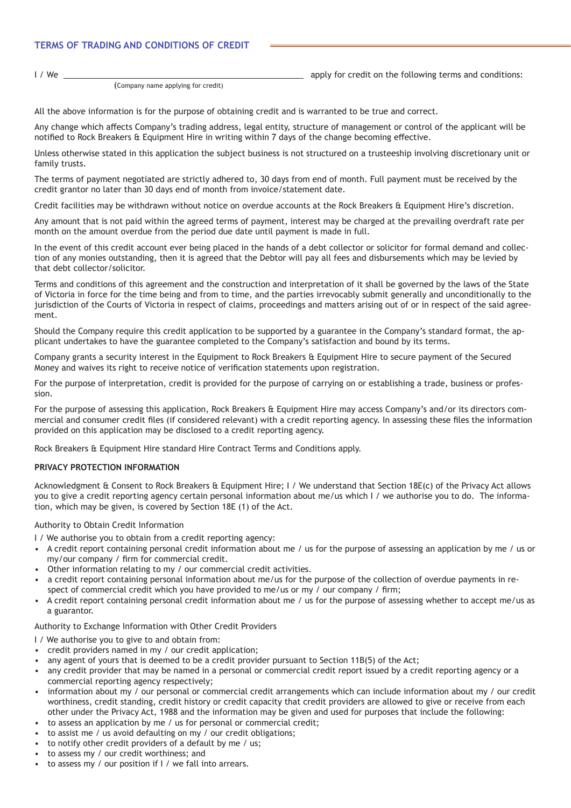## **TERMS OF TRADING AND CONDITIONS OF CREDIT**

I / We  $\frac{1}{2}$  apply for credit on the following terms and conditions:

(Company name applying for credit)

All the above information is for the purpose of obtaining credit and is warranted to be true and correct.

Any change which affects Company's trading address, legal entity, structure of management or control of the applicant will be notified to Rock Breakers & Equipment Hire in writing within 7 days of the change becoming effective.

Unless otherwise stated in this application the subject business is not structured on a trusteeship involving discretionary unit or family trusts.

The terms of payment negotiated are strictly adhered to, 30 days from end of month. Full payment must be received by the credit grantor no later than 30 days end of month from invoice/statement date.

Credit facilities may be withdrawn without notice on overdue accounts at the Rock Breakers & Equipment Hire's discretion.

Any amount that is not paid within the agreed terms of payment, interest may be charged at the prevailing overdraft rate per month on the amount overdue from the period due date until payment is made in full.

In the event of this credit account ever being placed in the hands of a debt collector or solicitor for formal demand and collection of any monies outstanding, then it is agreed that the Debtor will pay all fees and disbursements which may be levied by that debt collector/solicitor.

Terms and conditions of this agreement and the construction and interpretation of it shall be governed by the laws of the State of Victoria in force for the time being and from to time, and the parties irrevocably submit generally and unconditionally to the jurisdiction of the Courts of Victoria in respect of claims, proceedings and matters arising out of or in respect of the said agreement.

Should the Company require this credit application to be supported by a guarantee in the Company's standard format, the applicant undertakes to have the guarantee completed to the Company's satisfaction and bound by its terms.

Company grants a security interest in the Equipment to Rock Breakers & Equipment Hire to secure payment of the Secured Money and waives its right to receive notice of verification statements upon registration.

For the purpose of interpretation, credit is provided for the purpose of carrying on or establishing a trade, business or profession.

For the purpose of assessing this application, Rock Breakers & Equipment Hire may access Company's and/or its directors commercial and consumer credit files (if considered relevant) with a credit reporting agency. In assessing these files the information provided on this application may be disclosed to a credit reporting agency.

Rock Breakers & Equipment Hire standard Hire Contract Terms and Conditions apply.

## **PRIVACY PROTECTION INFORMATION**

Acknowledgment & Consent to Rock Breakers & Equipment Hire; I / We understand that Section 18E(c) of the Privacy Act allows you to give a credit reporting agency certain personal information about me/us which I / we authorise you to do. The information, which may be given, is covered by Section 18E (1) of the Act.

Authority to Obtain Credit Information

- I / We authorise you to obtain from a credit reporting agency:
- A credit report containing personal credit information about me / us for the purpose of assessing an application by me / us or my/our company / firm for commercial credit.
- Other information relating to my / our commercial credit activities.
- a credit report containing personal information about me/us for the purpose of the collection of overdue payments in respect of commercial credit which you have provided to me/us or my / our company / firm;
- A credit report containing personal credit information about me / us for the purpose of assessing whether to accept me/us as a guarantor.

Authority to Exchange Information with Other Credit Providers

- I / We authorise you to give to and obtain from:
- credit providers named in my / our credit application;
- any agent of yours that is deemed to be a credit provider pursuant to Section 11B(5) of the Act;
- any credit provider that may be named in a personal or commercial credit report issued by a credit reporting agency or a commercial reporting agency respectively;
- information about my / our personal or commercial credit arrangements which can include information about my / our credit worthiness, credit standing, credit history or credit capacity that credit providers are allowed to give or receive from each other under the Privacy Act, 1988 and the information may be given and used for purposes that include the following:
- to assess an application by me / us for personal or commercial credit;
- to assist me / us avoid defaulting on my / our credit obligations;
- to notify other credit providers of a default by me / us;
- to assess my / our credit worthiness; and
- to assess my / our position if I / we fall into arrears.